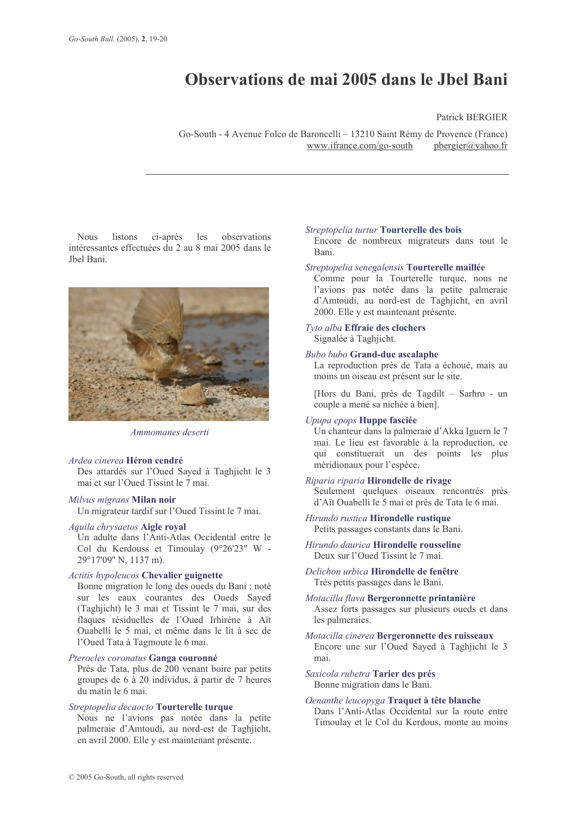# Observations de mai 2005 dans le Jbel Bani

# **Patrick BERGIER**

Go-South - 4 Avenue Folco de Baroncelli – 13210 Saint Rémy de Provence (France) www.ifrance.com/go-south pbergier@vahoo.fr

**Nous** listons ci-après les observations intéressantes effectuées du 2 au 8 mai 2005 dans le Jbel Bani.



Ammomanes deserti

# Ardea cinerea Héron cendré

Des attardés sur l'Oued Sayed à Taghjicht le 3 mai et sur l'Oued Tissint le 7 mai.

#### Milvus migrans Milan noir

Un migrateur tardif sur l'Oued Tissint le 7 mai.

# Aquila chrysaetos Aigle royal

Un adulte dans l'Anti-Atlas Occidental entre le Col du Kerdouss et Timoulay (9°26'23" W -29°17'09" N, 1137 m).

## **Actitis hypoleucos Chevalier guignette**

Bonne migration le long des oueds du Bani ; noté sur les eaux courantes des Oueds Sayed (Taghjicht) le 3 mai et Tissint le 7 mai, sur des flaques résiduelles de l'Oued Irhirène à Aït Ouabelli le 5 mai, et même dans le lit à sec de l'Oued Tata à Tagmoute le 6 mai.

## Pterocles coronatus Ganga couronné

Près de Tata, plus de 200 venant boire par petits groupes de 6 à 20 individus, à partir de 7 heures du matin le 6 mai.

#### Streptopelia decaocto Tourterelle turque

Nous ne l'avions pas notée dans la petite palmeraie d'Amtoudi, au nord-est de Taghjicht, en avril 2000. Elle y est maintenant présente.

#### Streptopelia turtur Tourterelle des bois

Encore de nombreux migrateurs dans tout le Bani.

#### Streptopelia senegalensis Tourterelle maillée

Comme pour la Tourterelle turque, nous ne l'avions pas notée dans la petite palmeraie d'Amtoudi, au nord-est de Taghjicht, en avril 2000. Elle y est maintenant présente.

# Tyto alba Effraie des clochers Signalée à Taghjicht.

## **Bubo bubo Grand-duc ascalaphe**

La reproduction près de Tata a échoué, mais au moins un oiseau est présent sur le site.

[Hors du Bani, près de Tagdilt - Sarhro - un couple a mené sa nichée à bien].

#### Upupa epops Huppe fasciée

Un chanteur dans la palmeraie d'Akka Iguern le 7 mai. Le lieu est favorable à la reproduction, ce qui constituerait un des points les plus méridionaux pour l'espèce.

## Riparia riparia Hirondelle de rivage

Seulement quelques oiseaux rencontrés près d'Aït Ouabelli le 5 mai et près de Tata le 6 mai.

# Hirundo rustica Hirondelle rustique

Petits passages constants dans le Bani.

Hirundo daurica Hirondelle rousseline Deux sur l'Oued Tissint le 7 mai

# Delichon urbica Hirondelle de fenêtre Très petits passages dans le Bani.

# Motacilla flava Bergeronnette printanière Assez forts passages sur plusieurs oueds et dans les palmeraies.

Motacilla cinerea Bergeronnette des ruisseaux Encore une sur l'Oued Sayed à Taghjicht le 3 mai

Saxicola rubetra Tarier des prés Bonne migration dans le Bani.

# Oenanthe leucopyga Traquet à tête blanche Dans l'Anti-Atlas Occidental sur la route entre Timoulay et le Col du Kerdous, monte au moins